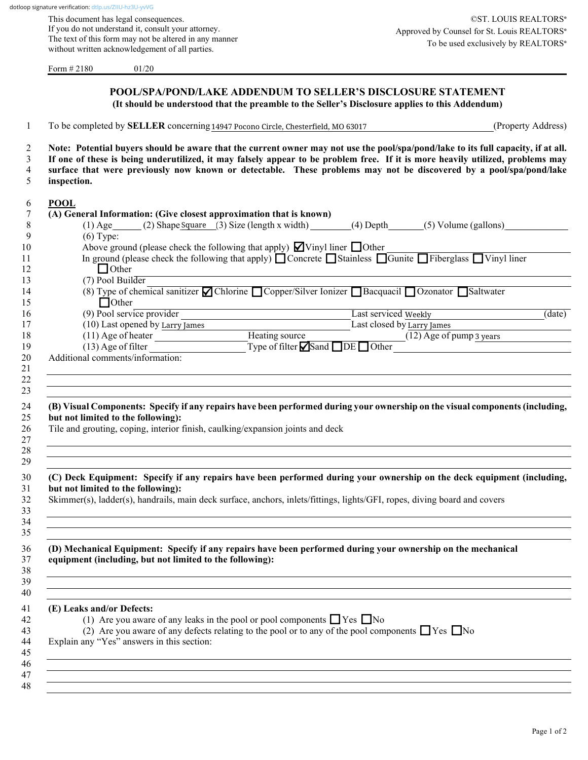This document has legal consequences. If you do not understand it, consult your attorney. The text of this form may not be altered in any manner without written acknowledgement of all parties.

Form # 2180 01/20

| To be completed by SELLER concerning 14947 Pocono Circle, Chesterfield, MO 63017<br>Note: Potential buyers should be aware that the current owner may not use the pool/spa/pond/lake to its full capacity, if at all.<br>If one of these is being underutilized, it may falsely appear to be problem free. If it is more heavily utilized, problems may<br>surface that were previously now known or detectable. These problems may not be discovered by a pool/spa/pond/lake<br>inspection.<br>(A) General Information: (Give closest approximation that is known)<br>$(1)$ Age $(2)$ Shape Square $(3)$ Size (length x width) $(4)$ Depth $(5)$ Volume (gallons)<br>$(6)$ Type:<br>Above ground (please check the following that apply) $\blacksquare$ Vinyl liner $\blacksquare$ Other<br>In ground (please check the following that apply) $\Box$ Concrete $\Box$ Stainless $\Box$ Gunite $\Box$ Fiberglass $\Box$ Vinyl liner<br>$\Box$ Other<br>$(7)$ Pool Builder<br>(8) Type of chemical sanitizer Chlorine Copper/Silver Ionizer Bacquacil Ozonator Saltwater<br>$\Box$ Other<br>(9) Pool service provider<br>Last serviced Weekly<br>(10) Last opened by Larry James<br>Last closed by Larry James<br>Heating source<br>Type of filter Sand DE Other<br>(11) Age of heater<br>$(13)$ Age of filter<br>Additional comments/information:<br>(B) Visual Components: Specify if any repairs have been performed during your ownership on the visual components (including,<br>but not limited to the following):<br>Tile and grouting, coping, interior finish, caulking/expansion joints and deck<br>(C) Deck Equipment: Specify if any repairs have been performed during your ownership on the deck equipment (including,<br>but not limited to the following):<br>Skimmer(s), ladder(s), handrails, main deck surface, anchors, inlets/fittings, lights/GFI, ropes, diving board and covers<br>(D) Mechanical Equipment: Specify if any repairs have been performed during your ownership on the mechanical<br>(1) Are you aware of any leaks in the pool or pool components $\Box$ Yes $\Box$ No<br>(2) Are you aware of any defects relating to the pool or to any of the pool components $\Box$ Yes $\Box$ No | <b>POOL/SPA/POND/LAKE ADDENDUM TO SELLER'S DISCLOSURE STATEMENT</b><br>(It should be understood that the preamble to the Seller's Disclosure applies to this Addendum) |                    |
|----------------------------------------------------------------------------------------------------------------------------------------------------------------------------------------------------------------------------------------------------------------------------------------------------------------------------------------------------------------------------------------------------------------------------------------------------------------------------------------------------------------------------------------------------------------------------------------------------------------------------------------------------------------------------------------------------------------------------------------------------------------------------------------------------------------------------------------------------------------------------------------------------------------------------------------------------------------------------------------------------------------------------------------------------------------------------------------------------------------------------------------------------------------------------------------------------------------------------------------------------------------------------------------------------------------------------------------------------------------------------------------------------------------------------------------------------------------------------------------------------------------------------------------------------------------------------------------------------------------------------------------------------------------------------------------------------------------------------------------------------------------------------------------------------------------------------------------------------------------------------------------------------------------------------------------------------------------------------------------------------------------------------------------------------------------------------------------------------------------------------------------------------------------------------------------------------------------------------|------------------------------------------------------------------------------------------------------------------------------------------------------------------------|--------------------|
|                                                                                                                                                                                                                                                                                                                                                                                                                                                                                                                                                                                                                                                                                                                                                                                                                                                                                                                                                                                                                                                                                                                                                                                                                                                                                                                                                                                                                                                                                                                                                                                                                                                                                                                                                                                                                                                                                                                                                                                                                                                                                                                                                                                                                            |                                                                                                                                                                        | (Property Address) |
|                                                                                                                                                                                                                                                                                                                                                                                                                                                                                                                                                                                                                                                                                                                                                                                                                                                                                                                                                                                                                                                                                                                                                                                                                                                                                                                                                                                                                                                                                                                                                                                                                                                                                                                                                                                                                                                                                                                                                                                                                                                                                                                                                                                                                            |                                                                                                                                                                        |                    |
|                                                                                                                                                                                                                                                                                                                                                                                                                                                                                                                                                                                                                                                                                                                                                                                                                                                                                                                                                                                                                                                                                                                                                                                                                                                                                                                                                                                                                                                                                                                                                                                                                                                                                                                                                                                                                                                                                                                                                                                                                                                                                                                                                                                                                            |                                                                                                                                                                        |                    |
|                                                                                                                                                                                                                                                                                                                                                                                                                                                                                                                                                                                                                                                                                                                                                                                                                                                                                                                                                                                                                                                                                                                                                                                                                                                                                                                                                                                                                                                                                                                                                                                                                                                                                                                                                                                                                                                                                                                                                                                                                                                                                                                                                                                                                            |                                                                                                                                                                        |                    |
|                                                                                                                                                                                                                                                                                                                                                                                                                                                                                                                                                                                                                                                                                                                                                                                                                                                                                                                                                                                                                                                                                                                                                                                                                                                                                                                                                                                                                                                                                                                                                                                                                                                                                                                                                                                                                                                                                                                                                                                                                                                                                                                                                                                                                            |                                                                                                                                                                        |                    |
|                                                                                                                                                                                                                                                                                                                                                                                                                                                                                                                                                                                                                                                                                                                                                                                                                                                                                                                                                                                                                                                                                                                                                                                                                                                                                                                                                                                                                                                                                                                                                                                                                                                                                                                                                                                                                                                                                                                                                                                                                                                                                                                                                                                                                            | <b>POOL</b>                                                                                                                                                            |                    |
|                                                                                                                                                                                                                                                                                                                                                                                                                                                                                                                                                                                                                                                                                                                                                                                                                                                                                                                                                                                                                                                                                                                                                                                                                                                                                                                                                                                                                                                                                                                                                                                                                                                                                                                                                                                                                                                                                                                                                                                                                                                                                                                                                                                                                            |                                                                                                                                                                        |                    |
|                                                                                                                                                                                                                                                                                                                                                                                                                                                                                                                                                                                                                                                                                                                                                                                                                                                                                                                                                                                                                                                                                                                                                                                                                                                                                                                                                                                                                                                                                                                                                                                                                                                                                                                                                                                                                                                                                                                                                                                                                                                                                                                                                                                                                            |                                                                                                                                                                        |                    |
|                                                                                                                                                                                                                                                                                                                                                                                                                                                                                                                                                                                                                                                                                                                                                                                                                                                                                                                                                                                                                                                                                                                                                                                                                                                                                                                                                                                                                                                                                                                                                                                                                                                                                                                                                                                                                                                                                                                                                                                                                                                                                                                                                                                                                            |                                                                                                                                                                        |                    |
|                                                                                                                                                                                                                                                                                                                                                                                                                                                                                                                                                                                                                                                                                                                                                                                                                                                                                                                                                                                                                                                                                                                                                                                                                                                                                                                                                                                                                                                                                                                                                                                                                                                                                                                                                                                                                                                                                                                                                                                                                                                                                                                                                                                                                            |                                                                                                                                                                        |                    |
|                                                                                                                                                                                                                                                                                                                                                                                                                                                                                                                                                                                                                                                                                                                                                                                                                                                                                                                                                                                                                                                                                                                                                                                                                                                                                                                                                                                                                                                                                                                                                                                                                                                                                                                                                                                                                                                                                                                                                                                                                                                                                                                                                                                                                            |                                                                                                                                                                        |                    |
|                                                                                                                                                                                                                                                                                                                                                                                                                                                                                                                                                                                                                                                                                                                                                                                                                                                                                                                                                                                                                                                                                                                                                                                                                                                                                                                                                                                                                                                                                                                                                                                                                                                                                                                                                                                                                                                                                                                                                                                                                                                                                                                                                                                                                            |                                                                                                                                                                        |                    |
|                                                                                                                                                                                                                                                                                                                                                                                                                                                                                                                                                                                                                                                                                                                                                                                                                                                                                                                                                                                                                                                                                                                                                                                                                                                                                                                                                                                                                                                                                                                                                                                                                                                                                                                                                                                                                                                                                                                                                                                                                                                                                                                                                                                                                            |                                                                                                                                                                        |                    |
|                                                                                                                                                                                                                                                                                                                                                                                                                                                                                                                                                                                                                                                                                                                                                                                                                                                                                                                                                                                                                                                                                                                                                                                                                                                                                                                                                                                                                                                                                                                                                                                                                                                                                                                                                                                                                                                                                                                                                                                                                                                                                                                                                                                                                            |                                                                                                                                                                        |                    |
|                                                                                                                                                                                                                                                                                                                                                                                                                                                                                                                                                                                                                                                                                                                                                                                                                                                                                                                                                                                                                                                                                                                                                                                                                                                                                                                                                                                                                                                                                                                                                                                                                                                                                                                                                                                                                                                                                                                                                                                                                                                                                                                                                                                                                            |                                                                                                                                                                        | (data)             |
|                                                                                                                                                                                                                                                                                                                                                                                                                                                                                                                                                                                                                                                                                                                                                                                                                                                                                                                                                                                                                                                                                                                                                                                                                                                                                                                                                                                                                                                                                                                                                                                                                                                                                                                                                                                                                                                                                                                                                                                                                                                                                                                                                                                                                            |                                                                                                                                                                        |                    |
|                                                                                                                                                                                                                                                                                                                                                                                                                                                                                                                                                                                                                                                                                                                                                                                                                                                                                                                                                                                                                                                                                                                                                                                                                                                                                                                                                                                                                                                                                                                                                                                                                                                                                                                                                                                                                                                                                                                                                                                                                                                                                                                                                                                                                            |                                                                                                                                                                        |                    |
|                                                                                                                                                                                                                                                                                                                                                                                                                                                                                                                                                                                                                                                                                                                                                                                                                                                                                                                                                                                                                                                                                                                                                                                                                                                                                                                                                                                                                                                                                                                                                                                                                                                                                                                                                                                                                                                                                                                                                                                                                                                                                                                                                                                                                            |                                                                                                                                                                        |                    |
|                                                                                                                                                                                                                                                                                                                                                                                                                                                                                                                                                                                                                                                                                                                                                                                                                                                                                                                                                                                                                                                                                                                                                                                                                                                                                                                                                                                                                                                                                                                                                                                                                                                                                                                                                                                                                                                                                                                                                                                                                                                                                                                                                                                                                            |                                                                                                                                                                        |                    |
|                                                                                                                                                                                                                                                                                                                                                                                                                                                                                                                                                                                                                                                                                                                                                                                                                                                                                                                                                                                                                                                                                                                                                                                                                                                                                                                                                                                                                                                                                                                                                                                                                                                                                                                                                                                                                                                                                                                                                                                                                                                                                                                                                                                                                            |                                                                                                                                                                        |                    |
|                                                                                                                                                                                                                                                                                                                                                                                                                                                                                                                                                                                                                                                                                                                                                                                                                                                                                                                                                                                                                                                                                                                                                                                                                                                                                                                                                                                                                                                                                                                                                                                                                                                                                                                                                                                                                                                                                                                                                                                                                                                                                                                                                                                                                            |                                                                                                                                                                        |                    |
|                                                                                                                                                                                                                                                                                                                                                                                                                                                                                                                                                                                                                                                                                                                                                                                                                                                                                                                                                                                                                                                                                                                                                                                                                                                                                                                                                                                                                                                                                                                                                                                                                                                                                                                                                                                                                                                                                                                                                                                                                                                                                                                                                                                                                            |                                                                                                                                                                        |                    |
|                                                                                                                                                                                                                                                                                                                                                                                                                                                                                                                                                                                                                                                                                                                                                                                                                                                                                                                                                                                                                                                                                                                                                                                                                                                                                                                                                                                                                                                                                                                                                                                                                                                                                                                                                                                                                                                                                                                                                                                                                                                                                                                                                                                                                            |                                                                                                                                                                        |                    |
|                                                                                                                                                                                                                                                                                                                                                                                                                                                                                                                                                                                                                                                                                                                                                                                                                                                                                                                                                                                                                                                                                                                                                                                                                                                                                                                                                                                                                                                                                                                                                                                                                                                                                                                                                                                                                                                                                                                                                                                                                                                                                                                                                                                                                            |                                                                                                                                                                        |                    |
|                                                                                                                                                                                                                                                                                                                                                                                                                                                                                                                                                                                                                                                                                                                                                                                                                                                                                                                                                                                                                                                                                                                                                                                                                                                                                                                                                                                                                                                                                                                                                                                                                                                                                                                                                                                                                                                                                                                                                                                                                                                                                                                                                                                                                            | equipment (including, but not limited to the following):                                                                                                               |                    |
|                                                                                                                                                                                                                                                                                                                                                                                                                                                                                                                                                                                                                                                                                                                                                                                                                                                                                                                                                                                                                                                                                                                                                                                                                                                                                                                                                                                                                                                                                                                                                                                                                                                                                                                                                                                                                                                                                                                                                                                                                                                                                                                                                                                                                            |                                                                                                                                                                        |                    |
|                                                                                                                                                                                                                                                                                                                                                                                                                                                                                                                                                                                                                                                                                                                                                                                                                                                                                                                                                                                                                                                                                                                                                                                                                                                                                                                                                                                                                                                                                                                                                                                                                                                                                                                                                                                                                                                                                                                                                                                                                                                                                                                                                                                                                            | (E) Leaks and/or Defects:                                                                                                                                              |                    |
|                                                                                                                                                                                                                                                                                                                                                                                                                                                                                                                                                                                                                                                                                                                                                                                                                                                                                                                                                                                                                                                                                                                                                                                                                                                                                                                                                                                                                                                                                                                                                                                                                                                                                                                                                                                                                                                                                                                                                                                                                                                                                                                                                                                                                            |                                                                                                                                                                        |                    |
|                                                                                                                                                                                                                                                                                                                                                                                                                                                                                                                                                                                                                                                                                                                                                                                                                                                                                                                                                                                                                                                                                                                                                                                                                                                                                                                                                                                                                                                                                                                                                                                                                                                                                                                                                                                                                                                                                                                                                                                                                                                                                                                                                                                                                            | Explain any "Yes" answers in this section:                                                                                                                             |                    |
|                                                                                                                                                                                                                                                                                                                                                                                                                                                                                                                                                                                                                                                                                                                                                                                                                                                                                                                                                                                                                                                                                                                                                                                                                                                                                                                                                                                                                                                                                                                                                                                                                                                                                                                                                                                                                                                                                                                                                                                                                                                                                                                                                                                                                            |                                                                                                                                                                        |                    |
|                                                                                                                                                                                                                                                                                                                                                                                                                                                                                                                                                                                                                                                                                                                                                                                                                                                                                                                                                                                                                                                                                                                                                                                                                                                                                                                                                                                                                                                                                                                                                                                                                                                                                                                                                                                                                                                                                                                                                                                                                                                                                                                                                                                                                            |                                                                                                                                                                        |                    |
|                                                                                                                                                                                                                                                                                                                                                                                                                                                                                                                                                                                                                                                                                                                                                                                                                                                                                                                                                                                                                                                                                                                                                                                                                                                                                                                                                                                                                                                                                                                                                                                                                                                                                                                                                                                                                                                                                                                                                                                                                                                                                                                                                                                                                            |                                                                                                                                                                        |                    |